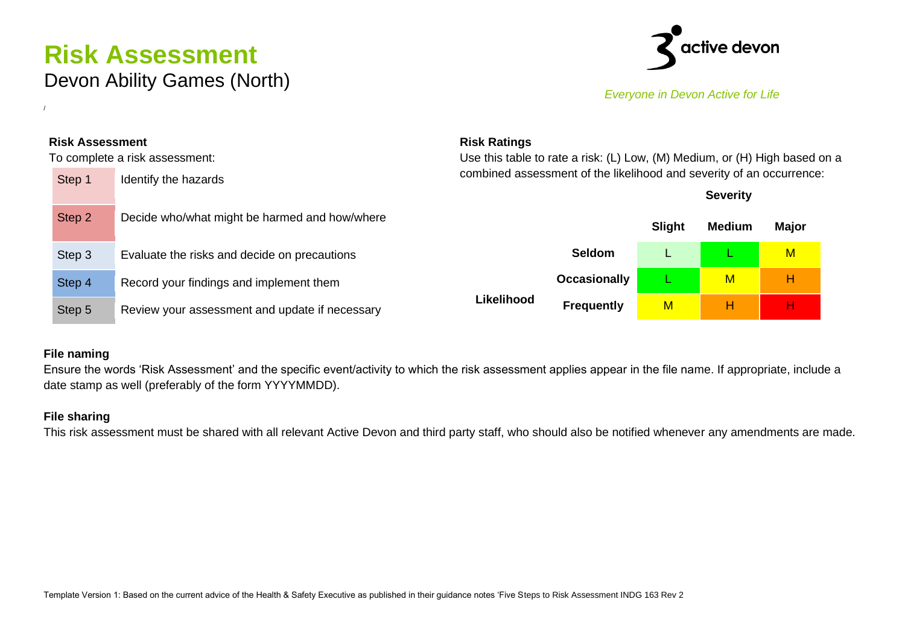## **Risk Assessment** Devon Ability Games (North)



*Everyone in Devon Active for Life*

| <b>Risk Assessment</b> |                                                | <b>Risk Ratings</b>                                                  |                                                                            |               |                 |              |  |  |  |
|------------------------|------------------------------------------------|----------------------------------------------------------------------|----------------------------------------------------------------------------|---------------|-----------------|--------------|--|--|--|
|                        | To complete a risk assessment:                 |                                                                      | Use this table to rate a risk: (L) Low, (M) Medium, or (H) High based on a |               |                 |              |  |  |  |
| Step 1                 | Identify the hazards                           | combined assessment of the likelihood and severity of an occurrence: |                                                                            |               |                 |              |  |  |  |
|                        |                                                |                                                                      |                                                                            |               | <b>Severity</b> |              |  |  |  |
| Step 2                 | Decide who/what might be harmed and how/where  |                                                                      |                                                                            | <b>Slight</b> | <b>Medium</b>   | <b>Major</b> |  |  |  |
| Step 3                 | Evaluate the risks and decide on precautions   |                                                                      | <b>Seldom</b>                                                              |               |                 | $M$          |  |  |  |
| Step 4                 | Record your findings and implement them        |                                                                      | <b>Occasionally</b>                                                        |               | M               | н            |  |  |  |
| Step 5                 | Review your assessment and update if necessary | Likelihood                                                           | <b>Frequently</b>                                                          | M             | н               | н            |  |  |  |

## **File naming**

/

Ensure the words 'Risk Assessment' and the specific event/activity to which the risk assessment applies appear in the file name. If appropriate, include a date stamp as well (preferably of the form YYYYMMDD).

## **File sharing**

This risk assessment must be shared with all relevant Active Devon and third party staff, who should also be notified whenever any amendments are made.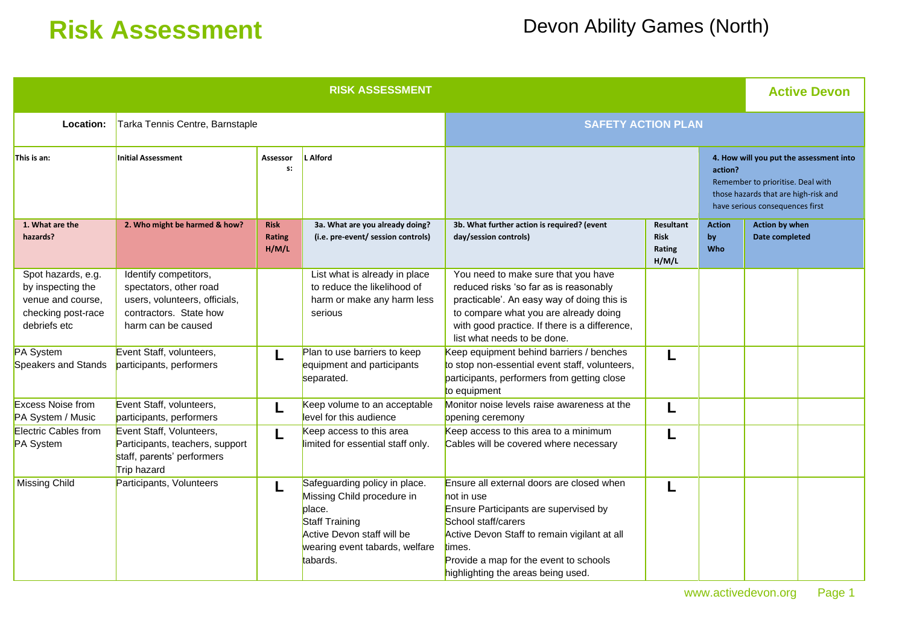# **Risk Assessment** Devon Ability Games (North)

| <b>RISK ASSESSMENT</b>                                                                             |                                                                                                                                  |                                |                                                                                                                                                                            |                                                                                                                                                                                                                                                                   |                                             |                            |                                                                                                                                                         | <b>Active Devon</b> |  |
|----------------------------------------------------------------------------------------------------|----------------------------------------------------------------------------------------------------------------------------------|--------------------------------|----------------------------------------------------------------------------------------------------------------------------------------------------------------------------|-------------------------------------------------------------------------------------------------------------------------------------------------------------------------------------------------------------------------------------------------------------------|---------------------------------------------|----------------------------|---------------------------------------------------------------------------------------------------------------------------------------------------------|---------------------|--|
| Location:                                                                                          | Tarka Tennis Centre, Barnstaple                                                                                                  | <b>SAFETY ACTION PLAN</b>      |                                                                                                                                                                            |                                                                                                                                                                                                                                                                   |                                             |                            |                                                                                                                                                         |                     |  |
| This is an:                                                                                        | <b>Initial Assessment</b>                                                                                                        | <b>Assessor</b><br>s:          | <b>L</b> Alford                                                                                                                                                            | action?                                                                                                                                                                                                                                                           |                                             |                            | 4. How will you put the assessment into<br>Remember to prioritise. Deal with<br>those hazards that are high-risk and<br>have serious consequences first |                     |  |
| 1. What are the<br>hazards?                                                                        | 2. Who might be harmed & how?                                                                                                    | <b>Risk</b><br>Rating<br>H/M/L | 3a. What are you already doing?<br>(i.e. pre-event/ session controls)                                                                                                      | 3b. What further action is required? (event<br>day/session controls)                                                                                                                                                                                              | Resultant<br><b>Risk</b><br>Rating<br>H/M/L | <b>Action</b><br>by<br>Who | <b>Action by when</b><br>Date completed                                                                                                                 |                     |  |
| Spot hazards, e.g.<br>by inspecting the<br>venue and course,<br>checking post-race<br>debriefs etc | Identify competitors,<br>spectators, other road<br>users, volunteers, officials,<br>contractors. State how<br>harm can be caused |                                | List what is already in place<br>to reduce the likelihood of<br>harm or make any harm less<br>serious                                                                      | You need to make sure that you have<br>reduced risks 'so far as is reasonably<br>practicable'. An easy way of doing this is<br>to compare what you are already doing<br>with good practice. If there is a difference,<br>list what needs to be done.              |                                             |                            |                                                                                                                                                         |                     |  |
| PA System<br>Speakers and Stands                                                                   | Event Staff, volunteers,<br>participants, performers                                                                             | L                              | Plan to use barriers to keep<br>equipment and participants<br>separated.                                                                                                   | Keep equipment behind barriers / benches<br>to stop non-essential event staff, volunteers,<br>participants, performers from getting close<br>to equipment                                                                                                         | L                                           |                            |                                                                                                                                                         |                     |  |
| <b>Excess Noise from</b><br>PA System / Music                                                      | Event Staff, volunteers,<br>participants, performers                                                                             |                                | Keep volume to an acceptable<br>level for this audience                                                                                                                    | Monitor noise levels raise awareness at the<br>opening ceremony                                                                                                                                                                                                   |                                             |                            |                                                                                                                                                         |                     |  |
| Electric Cables from<br>PA System                                                                  | Event Staff, Volunteers,<br>Participants, teachers, support<br>staff, parents' performers<br>Trip hazard                         |                                | Keep access to this area<br>imited for essential staff only.                                                                                                               | Keep access to this area to a minimum<br>Cables will be covered where necessary                                                                                                                                                                                   |                                             |                            |                                                                                                                                                         |                     |  |
| <b>Missing Child</b>                                                                               | Participants, Volunteers                                                                                                         | L                              | Safeguarding policy in place.<br>Missing Child procedure in<br>place.<br><b>Staff Training</b><br>Active Devon staff will be<br>wearing event tabards, welfare<br>tabards. | Ensure all external doors are closed when<br>not in use<br>Ensure Participants are supervised by<br>School staff/carers<br>Active Devon Staff to remain vigilant at all<br>times.<br>Provide a map for the event to schools<br>highlighting the areas being used. | L                                           |                            |                                                                                                                                                         |                     |  |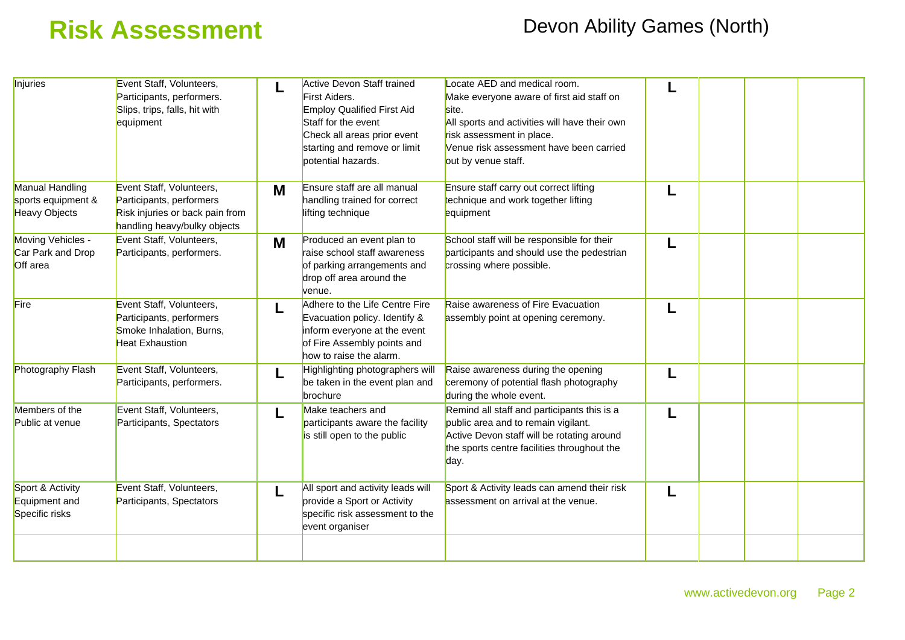## **Risk Assessment** Devon Ability Games (North)

| Injuries                                                      | Event Staff, Volunteers,<br>Participants, performers.<br>Slips, trips, falls, hit with<br>equipment                     |   | <b>Active Devon Staff trained</b><br>First Aiders.<br><b>Employ Qualified First Aid</b><br>Staff for the event<br>Check all areas prior event<br>starting and remove or limit<br>potential hazards. | Locate AED and medical room.<br>Make everyone aware of first aid staff on<br>site.<br>All sports and activities will have their own<br>risk assessment in place.<br>Venue risk assessment have been carried<br>out by venue staff. |   |  |  |
|---------------------------------------------------------------|-------------------------------------------------------------------------------------------------------------------------|---|-----------------------------------------------------------------------------------------------------------------------------------------------------------------------------------------------------|------------------------------------------------------------------------------------------------------------------------------------------------------------------------------------------------------------------------------------|---|--|--|
| Manual Handling<br>sports equipment &<br><b>Heavy Objects</b> | Event Staff, Volunteers,<br>Participants, performers<br>Risk injuries or back pain from<br>handling heavy/bulky objects | M | Ensure staff are all manual<br>handling trained for correct<br>lifting technique                                                                                                                    | Ensure staff carry out correct lifting<br>technique and work together lifting<br>equipment                                                                                                                                         |   |  |  |
| Moving Vehicles -<br>Car Park and Drop<br>Off area            | Event Staff, Volunteers,<br>Participants, performers.                                                                   | M | Produced an event plan to<br>raise school staff awareness<br>of parking arrangements and<br>drop off area around the<br>venue.                                                                      | School staff will be responsible for their<br>participants and should use the pedestrian<br>crossing where possible.                                                                                                               | L |  |  |
| Fire                                                          | Event Staff, Volunteers,<br>Participants, performers<br>Smoke Inhalation, Burns,<br><b>Heat Exhaustion</b>              |   | Adhere to the Life Centre Fire<br>Evacuation policy. Identify &<br>inform everyone at the event<br>of Fire Assembly points and<br>how to raise the alarm.                                           | Raise awareness of Fire Evacuation<br>assembly point at opening ceremony.                                                                                                                                                          |   |  |  |
| Photography Flash                                             | Event Staff, Volunteers,<br>Participants, performers.                                                                   |   | Highlighting photographers will<br>be taken in the event plan and<br>brochure                                                                                                                       | Raise awareness during the opening<br>ceremony of potential flash photography<br>during the whole event.                                                                                                                           |   |  |  |
| Members of the<br>Public at venue                             | Event Staff, Volunteers,<br>Participants, Spectators                                                                    | L | Make teachers and<br>participants aware the facility<br>is still open to the public                                                                                                                 | Remind all staff and participants this is a<br>public area and to remain vigilant.<br>Active Devon staff will be rotating around<br>the sports centre facilities throughout the<br>day.                                            |   |  |  |
| Sport & Activity<br>Equipment and<br>Specific risks           | Event Staff, Volunteers,<br>Participants, Spectators                                                                    | L | All sport and activity leads will<br>provide a Sport or Activity<br>specific risk assessment to the<br>event organiser                                                                              | Sport & Activity leads can amend their risk<br>assessment on arrival at the venue.                                                                                                                                                 | L |  |  |
|                                                               |                                                                                                                         |   |                                                                                                                                                                                                     |                                                                                                                                                                                                                                    |   |  |  |